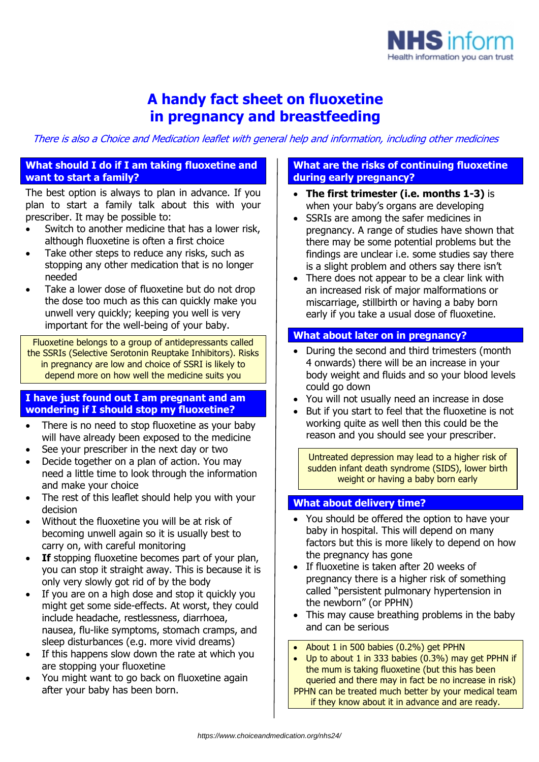

# **A handy fact sheet on fluoxetine in pregnancy and breastfeeding**

There is also a Choice and Medication leaflet with general help and information, including other medicines

## **What should I do if I am taking fluoxetine and want to start a family?**

The best option is always to plan in advance. If you plan to start a family talk about this with your prescriber. It may be possible to:

- Switch to another medicine that has a lower risk, although fluoxetine is often a first choice
- Take other steps to reduce any risks, such as stopping any other medication that is no longer needed
- Take a lower dose of fluoxetine but do not drop the dose too much as this can quickly make you unwell very quickly; keeping you well is very important for the well-being of your baby.

Fluoxetine belongs to a group of antidepressants called the SSRIs (Selective Serotonin Reuptake Inhibitors). Risks in pregnancy are low and choice of SSRI is likely to depend more on how well the medicine suits you

### **I have just found out I am pregnant and am wondering if I should stop my fluoxetine?**

- There is no need to stop fluoxetine as your baby will have already been exposed to the medicine
- See your prescriber in the next day or two
- Decide together on a plan of action. You may need a little time to look through the information and make your choice
- The rest of this leaflet should help you with your decision
- Without the fluoxetine you will be at risk of becoming unwell again so it is usually best to carry on, with careful monitoring
- **If** stopping fluoxetine becomes part of your plan, you can stop it straight away. This is because it is only very slowly got rid of by the body
- If you are on a high dose and stop it quickly you might get some side-effects. At worst, they could include headache, restlessness, diarrhoea, nausea, flu-like symptoms, stomach cramps, and sleep disturbances (e.g. more vivid dreams)
- If this happens slow down the rate at which you are stopping your fluoxetine
- You might want to go back on fluoxetine again after your baby has been born.

## **What are the risks of continuing fluoxetine during early pregnancy?**

- **The first trimester (i.e. months 1-3)** is when your baby's organs are developing
- SSRIs are among the safer medicines in pregnancy. A range of studies have shown that there may be some potential problems but the findings are unclear i.e. some studies say there is a slight problem and others say there isn't
- There does not appear to be a clear link with an increased risk of major malformations or miscarriage, stillbirth or having a baby born early if you take a usual dose of fluoxetine.

## **What about later on in pregnancy?**

- During the second and third trimesters (month 4 onwards) there will be an increase in your body weight and fluids and so your blood levels could go down
- You will not usually need an increase in dose
- But if you start to feel that the fluoxetine is not working quite as well then this could be the reason and you should see your prescriber.

Untreated depression may lead to a higher risk of sudden infant death syndrome (SIDS), lower birth weight or having a baby born early

## **What about delivery time?**

- You should be offered the option to have your baby in hospital. This will depend on many factors but this is more likely to depend on how the pregnancy has gone
- If fluoxetine is taken after 20 weeks of pregnancy there is a higher risk of something called "persistent pulmonary hypertension in the newborn" (or PPHN)
- This may cause breathing problems in the baby and can be serious
- About 1 in 500 babies (0.2%) get PPHN
- Up to about 1 in 333 babies (0.3%) may get PPHN if the mum is taking fluoxetine (but this has been queried and there may in fact be no increase in risk) PPHN can be treated much better by your medical team if they know about it in advance and are ready.